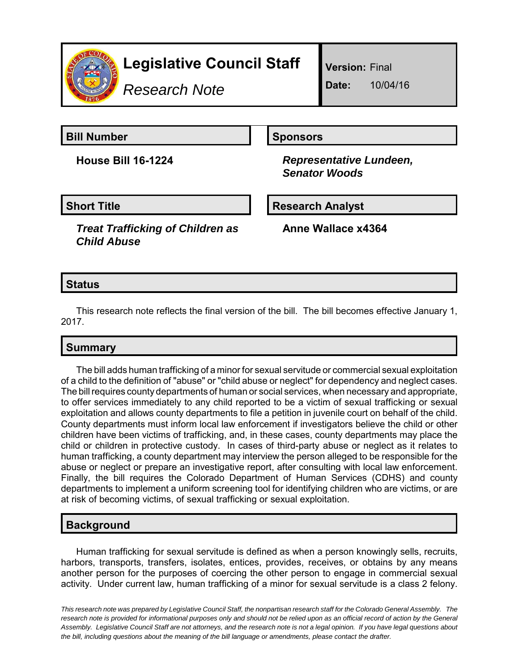

# **Legislative Council Staff**

*Research Note*

**Version:** Final

**Date:** 10/04/16

**Bill Number Sponsors** 

**House Bill 16-1224** *Representative Lundeen, Senator Woods*

**Short Title Community Community Community Research Analyst** 

*Treat Trafficking of Children as Child Abuse*

**Anne Wallace x4364**

## **Status**

This research note reflects the final version of the bill. The bill becomes effective January 1, 2017.

# **Summary**

The bill adds human trafficking of a minor for sexual servitude or commercial sexual exploitation of a child to the definition of "abuse" or "child abuse or neglect" for dependency and neglect cases. The bill requires county departments of human or social services, when necessary and appropriate, to offer services immediately to any child reported to be a victim of sexual trafficking or sexual exploitation and allows county departments to file a petition in juvenile court on behalf of the child. County departments must inform local law enforcement if investigators believe the child or other children have been victims of trafficking, and, in these cases, county departments may place the child or children in protective custody. In cases of third-party abuse or neglect as it relates to human trafficking, a county department may interview the person alleged to be responsible for the abuse or neglect or prepare an investigative report, after consulting with local law enforcement. Finally, the bill requires the Colorado Department of Human Services (CDHS) and county departments to implement a uniform screening tool for identifying children who are victims, or are at risk of becoming victims, of sexual trafficking or sexual exploitation.

## **Background**

Human trafficking for sexual servitude is defined as when a person knowingly sells, recruits, harbors, transports, transfers, isolates, entices, provides, receives, or obtains by any means another person for the purposes of coercing the other person to engage in commercial sexual activity. Under current law, human trafficking of a minor for sexual servitude is a class 2 felony.

*This research note was prepared by Legislative Council Staff, the nonpartisan research staff for the Colorado General Assembly. The research note is provided for informational purposes only and should not be relied upon as an official record of action by the General Assembly. Legislative Council Staff are not attorneys, and the research note is not a legal opinion. If you have legal questions about the bill, including questions about the meaning of the bill language or amendments, please contact the drafter.*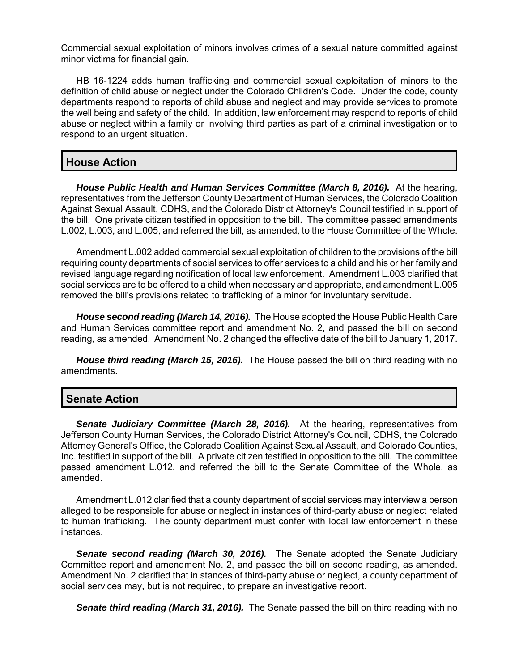Commercial sexual exploitation of minors involves crimes of a sexual nature committed against minor victims for financial gain.

HB 16-1224 adds human trafficking and commercial sexual exploitation of minors to the definition of child abuse or neglect under the Colorado Children's Code. Under the code, county departments respond to reports of child abuse and neglect and may provide services to promote the well being and safety of the child. In addition, law enforcement may respond to reports of child abuse or neglect within a family or involving third parties as part of a criminal investigation or to respond to an urgent situation.

#### **House Action**

*House Public Health and Human Services Committee (March 8, 2016).* At the hearing, representatives from the Jefferson County Department of Human Services, the Colorado Coalition Against Sexual Assault, CDHS, and the Colorado District Attorney's Council testified in support of the bill. One private citizen testified in opposition to the bill. The committee passed amendments L.002, L.003, and L.005, and referred the bill, as amended, to the House Committee of the Whole.

Amendment L.002 added commercial sexual exploitation of children to the provisions of the bill requiring county departments of social services to offer services to a child and his or her family and revised language regarding notification of local law enforcement. Amendment L.003 clarified that social services are to be offered to a child when necessary and appropriate, and amendment L.005 removed the bill's provisions related to trafficking of a minor for involuntary servitude.

*House second reading (March 14, 2016).* The House adopted the House Public Health Care and Human Services committee report and amendment No. 2, and passed the bill on second reading, as amended. Amendment No. 2 changed the effective date of the bill to January 1, 2017.

*House third reading (March 15, 2016).* The House passed the bill on third reading with no amendments.

#### **Senate Action**

*Senate Judiciary Committee (March 28, 2016).* At the hearing, representatives from Jefferson County Human Services, the Colorado District Attorney's Council, CDHS, the Colorado Attorney General's Office, the Colorado Coalition Against Sexual Assault, and Colorado Counties, Inc. testified in support of the bill. A private citizen testified in opposition to the bill. The committee passed amendment L.012, and referred the bill to the Senate Committee of the Whole, as amended.

Amendment L.012 clarified that a county department of social services may interview a person alleged to be responsible for abuse or neglect in instances of third-party abuse or neglect related to human trafficking. The county department must confer with local law enforcement in these instances.

**Senate second reading (March 30, 2016).** The Senate adopted the Senate Judiciary Committee report and amendment No. 2, and passed the bill on second reading, as amended. Amendment No. 2 clarified that in stances of third-party abuse or neglect, a county department of social services may, but is not required, to prepare an investigative report.

*Senate third reading (March 31, 2016).* The Senate passed the bill on third reading with no